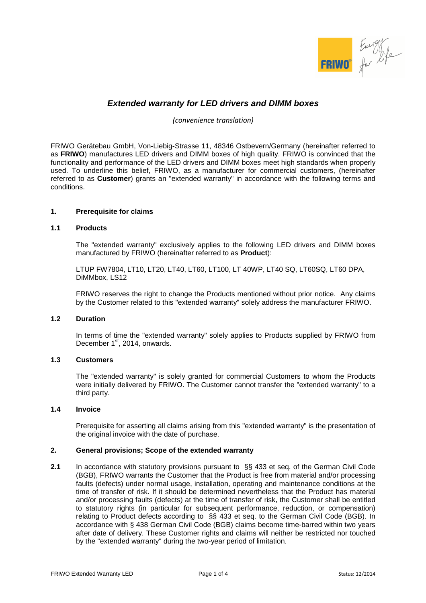

# **Extended warranty for LED drivers and DIMM boxes**

*(convenience translation)* 

FRIWO Gerätebau GmbH, Von-Liebig-Strasse 11, 48346 Ostbevern/Germany (hereinafter referred to as **FRIWO**) manufactures LED drivers and DIMM boxes of high quality. FRIWO is convinced that the functionality and performance of the LED drivers and DIMM boxes meet high standards when properly used. To underline this belief, FRIWO, as a manufacturer for commercial customers, (hereinafter referred to as **Customer**) grants an "extended warranty" in accordance with the following terms and conditions.

## **1. Prerequisite for claims**

# **1.1 Products**

The "extended warranty" exclusively applies to the following LED drivers and DIMM boxes manufactured by FRIWO (hereinafter referred to as **Product**):

LTUP FW7804, LT10, LT20, LT40, LT60, LT100, LT 40WP, LT40 SQ, LT60SQ, LT60 DPA, DiMMbox, LS12

FRIWO reserves the right to change the Products mentioned without prior notice. Any claims by the Customer related to this "extended warranty" solely address the manufacturer FRIWO.

#### **1.2 Duration**

In terms of time the "extended warranty" solely applies to Products supplied by FRIWO from December 1<sup>st</sup>, 2014, onwards.

#### **1.3 Customers**

The "extended warranty" is solely granted for commercial Customers to whom the Products were initially delivered by FRIWO. The Customer cannot transfer the "extended warranty" to a third party.

# **1.4 Invoice**

Prerequisite for asserting all claims arising from this "extended warranty" is the presentation of the original invoice with the date of purchase.

## **2. General provisions; Scope of the extended warranty**

**2.1** In accordance with statutory provisions pursuant to §§ 433 et seq. of the German Civil Code (BGB), FRIWO warrants the Customer that the Product is free from material and/or processing faults (defects) under normal usage, installation, operating and maintenance conditions at the time of transfer of risk. If it should be determined nevertheless that the Product has material and/or processing faults (defects) at the time of transfer of risk, the Customer shall be entitled to statutory rights (in particular for subsequent performance, reduction, or compensation) relating to Product defects according to §§ 433 et seq. to the German Civil Code (BGB). In accordance with § 438 German Civil Code (BGB) claims become time-barred within two years after date of delivery. These Customer rights and claims will neither be restricted nor touched by the "extended warranty" during the two-year period of limitation.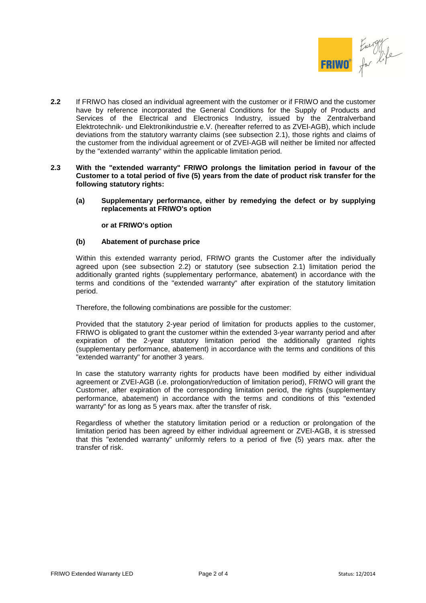

- **2.2** If FRIWO has closed an individual agreement with the customer or if FRIWO and the customer have by reference incorporated the General Conditions for the Supply of Products and Services of the Electrical and Electronics Industry, issued by the Zentralverband Elektrotechnik- und Elektronikindustrie e.V. (hereafter referred to as ZVEI-AGB), which include deviations from the statutory warranty claims (see subsection 2.1), those rights and claims of the customer from the individual agreement or of ZVEI-AGB will neither be limited nor affected by the "extended warranty" within the applicable limitation period.
- **2.3 With the "extended warranty" FRIWO prolongs the limitation period in favour of the Customer to a total period of five (5) years from the date of product risk transfer for the following statutory rights:** 
	- **(a) Supplementary performance, either by remedying the defect or by supplying replacements at FRIWO's option**

 **or at FRIWO's option** 

#### **(b) Abatement of purchase price**

Within this extended warranty period, FRIWO grants the Customer after the individually agreed upon (see subsection 2.2) or statutory (see subsection 2.1) limitation period the additionally granted rights (supplementary performance, abatement) in accordance with the terms and conditions of the "extended warranty" after expiration of the statutory limitation period.

Therefore, the following combinations are possible for the customer:

Provided that the statutory 2-year period of limitation for products applies to the customer, FRIWO is obligated to grant the customer within the extended 3-year warranty period and after expiration of the 2-year statutory limitation period the additionally granted rights (supplementary performance, abatement) in accordance with the terms and conditions of this "extended warranty" for another 3 years.

In case the statutory warranty rights for products have been modified by either individual agreement or ZVEI-AGB (i.e. prolongation/reduction of limitation period), FRIWO will grant the Customer, after expiration of the corresponding limitation period, the rights (supplementary performance, abatement) in accordance with the terms and conditions of this "extended warranty" for as long as 5 years max. after the transfer of risk.

Regardless of whether the statutory limitation period or a reduction or prolongation of the limitation period has been agreed by either individual agreement or ZVEI-AGB, it is stressed that this "extended warranty" uniformly refers to a period of five (5) years max. after the transfer of risk.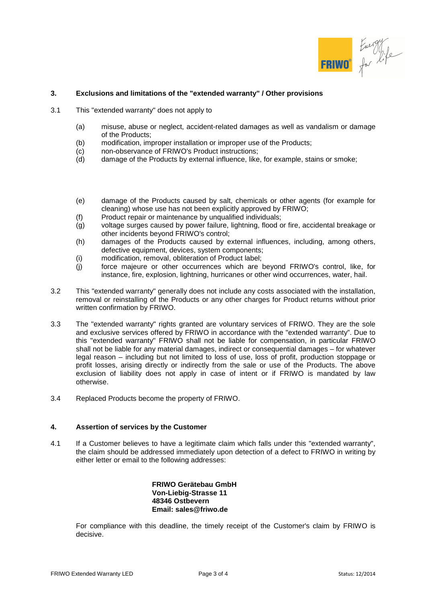

# **3. Exclusions and limitations of the "extended warranty" / Other provisions**

- 3.1 This "extended warranty" does not apply to
	- (a) misuse, abuse or neglect, accident-related damages as well as vandalism or damage of the Products;
	- (b) modification, improper installation or improper use of the Products;
	- (c) non-observance of FRIWO's Product instructions;
	- (d) damage of the Products by external influence, like, for example, stains or smoke;
	- (e) damage of the Products caused by salt, chemicals or other agents (for example for cleaning) whose use has not been explicitly approved by FRIWO;
	- (f) Product repair or maintenance by unqualified individuals;
	- (g) voltage surges caused by power failure, lightning, flood or fire, accidental breakage or other incidents beyond FRIWO's control;
	- (h) damages of the Products caused by external influences, including, among others, defective equipment, devices, system components;
	- (i) modification, removal, obliteration of Product label;
	- (j) force majeure or other occurrences which are beyond FRIWO's control, like, for instance, fire, explosion, lightning, hurricanes or other wind occurrences, water, hail.
- 3.2 This "extended warranty" generally does not include any costs associated with the installation, removal or reinstalling of the Products or any other charges for Product returns without prior written confirmation by FRIWO.
- 3.3 The "extended warranty" rights granted are voluntary services of FRIWO. They are the sole and exclusive services offered by FRIWO in accordance with the "extended warranty". Due to this "extended warranty" FRIWO shall not be liable for compensation, in particular FRIWO shall not be liable for any material damages, indirect or consequential damages – for whatever legal reason – including but not limited to loss of use, loss of profit, production stoppage or profit losses, arising directly or indirectly from the sale or use of the Products. The above exclusion of liability does not apply in case of intent or if FRIWO is mandated by law otherwise.
- 3.4 Replaced Products become the property of FRIWO.

# **4. Assertion of services by the Customer**

4.1 If a Customer believes to have a legitimate claim which falls under this "extended warranty", the claim should be addressed immediately upon detection of a defect to FRIWO in writing by either letter or email to the following addresses:

> **FRIWO Gerätebau GmbH Von-Liebig-Strasse 11 48346 Ostbevern Email: sales@friwo.de**

For compliance with this deadline, the timely receipt of the Customer's claim by FRIWO is decisive.